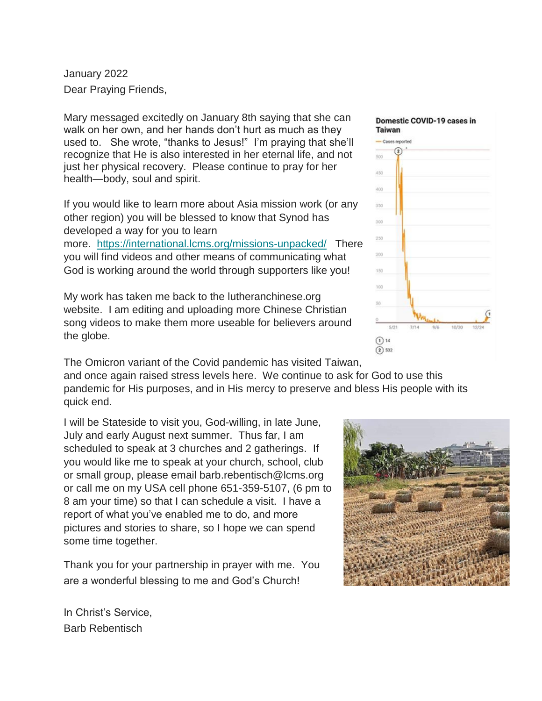January 2022 Dear Praying Friends,

Mary messaged excitedly on January 8th saying that she can walk on her own, and her hands don't hurt as much as they used to. She wrote, "thanks to Jesus!" I'm praying that she'll recognize that He is also interested in her eternal life, and not just her physical recovery. Please continue to pray for her health—body, soul and spirit.

If you would like to learn more about Asia mission work (or any other region) you will be blessed to know that Synod has developed a way for you to learn

more. <https://international.lcms.org/missions-unpacked/>There you will find videos and other means of communicating what God is working around the world through supporters like you!

My work has taken me back to the lutheranchinese.org website. I am editing and uploading more Chinese Christian song videos to make them more useable for believers around the globe.

The Omicron variant of the Covid pandemic has visited Taiwan,

and once again raised stress levels here. We continue to ask for God to use this pandemic for His purposes, and in His mercy to preserve and bless His people with its quick end.

I will be Stateside to visit you, God-willing, in late June, July and early August next summer. Thus far, I am scheduled to speak at 3 churches and 2 gatherings. If you would like me to speak at your church, school, club or small group, please email barb.rebentisch@lcms.org or call me on my USA cell phone 651-359-5107, (6 pm to 8 am your time) so that I can schedule a visit. I have a report of what you've enabled me to do, and more pictures and stories to share, so I hope we can spend some time together.

Thank you for your partnership in prayer with me. You are a wonderful blessing to me and God's Church!

In Christ's Service, Barb Rebentisch

# 400 350

Domestic COVID-19 cases in





Taiwan